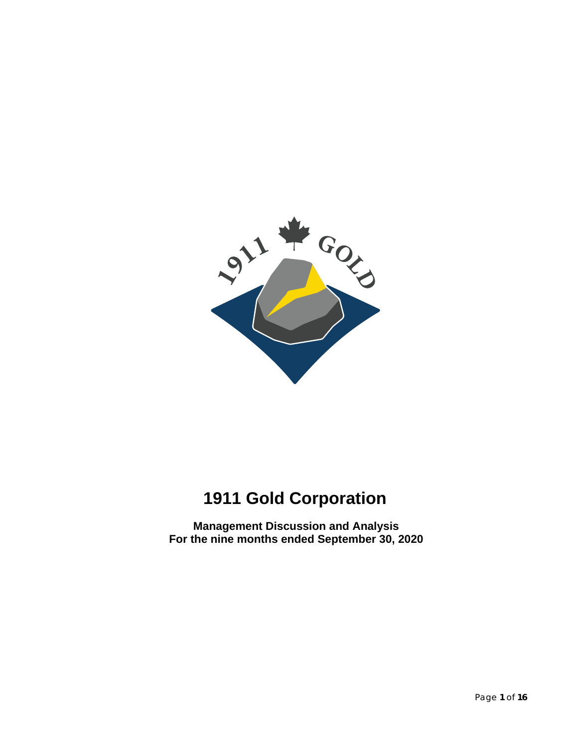

# **1911 Gold Corporation**

**Management Discussion and Analysis For the nine months ended September 30, 2020**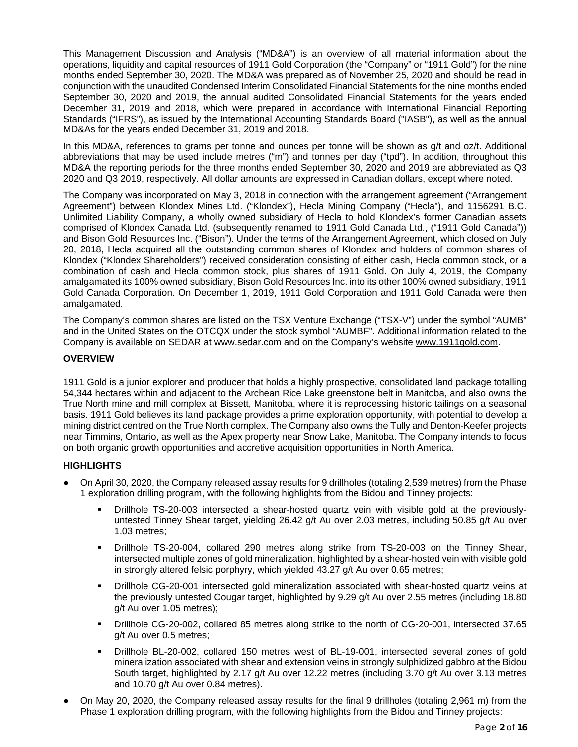This Management Discussion and Analysis ("MD&A") is an overview of all material information about the operations, liquidity and capital resources of 1911 Gold Corporation (the "Company" or "1911 Gold") for the nine months ended September 30, 2020. The MD&A was prepared as of November 25, 2020 and should be read in conjunction with the unaudited Condensed Interim Consolidated Financial Statements for the nine months ended September 30, 2020 and 2019, the annual audited Consolidated Financial Statements for the years ended December 31, 2019 and 2018, which were prepared in accordance with International Financial Reporting Standards ("IFRS"), as issued by the International Accounting Standards Board ("IASB"), as well as the annual MD&As for the years ended December 31, 2019 and 2018.

In this MD&A, references to grams per tonne and ounces per tonne will be shown as g/t and oz/t. Additional abbreviations that may be used include metres ("m") and tonnes per day ("tpd"). In addition, throughout this MD&A the reporting periods for the three months ended September 30, 2020 and 2019 are abbreviated as Q3 2020 and Q3 2019, respectively. All dollar amounts are expressed in Canadian dollars, except where noted.

The Company was incorporated on May 3, 2018 in connection with the arrangement agreement ("Arrangement Agreement") between Klondex Mines Ltd. ("Klondex"), Hecla Mining Company ("Hecla"), and 1156291 B.C. Unlimited Liability Company, a wholly owned subsidiary of Hecla to hold Klondex's former Canadian assets comprised of Klondex Canada Ltd. (subsequently renamed to 1911 Gold Canada Ltd., ("1911 Gold Canada")) and Bison Gold Resources Inc. ("Bison"). Under the terms of the Arrangement Agreement, which closed on July 20, 2018, Hecla acquired all the outstanding common shares of Klondex and holders of common shares of Klondex ("Klondex Shareholders") received consideration consisting of either cash, Hecla common stock, or a combination of cash and Hecla common stock, plus shares of 1911 Gold. On July 4, 2019, the Company amalgamated its 100% owned subsidiary, Bison Gold Resources Inc. into its other 100% owned subsidiary, 1911 Gold Canada Corporation. On December 1, 2019, 1911 Gold Corporation and 1911 Gold Canada were then amalgamated.

The Company's common shares are listed on the TSX Venture Exchange ("TSX-V") under the symbol "AUMB" and in the United States on the OTCQX under the stock symbol "AUMBF". Additional information related to the Company is available on SEDAR at www.sedar.com and on the Company's website [www.1911gold.com.](http://www.1911gold.com/)

## **OVERVIEW**

1911 Gold is a junior explorer and producer that holds a highly prospective, consolidated land package totalling 54,344 hectares within and adjacent to the Archean Rice Lake greenstone belt in Manitoba, and also owns the True North mine and mill complex at Bissett, Manitoba, where it is reprocessing historic tailings on a seasonal basis. 1911 Gold believes its land package provides a prime exploration opportunity, with potential to develop a mining district centred on the True North complex. The Company also owns the Tully and Denton-Keefer projects near Timmins, Ontario, as well as the Apex property near Snow Lake, Manitoba. The Company intends to focus on both organic growth opportunities and accretive acquisition opportunities in North America.

#### **HIGHLIGHTS**

- On April 30, 2020, the Company released assay results for 9 drillholes (totaling 2,539 metres) from the Phase 1 exploration drilling program, with the following highlights from the Bidou and Tinney projects:
	- Drillhole TS-20-003 intersected a shear-hosted quartz vein with visible gold at the previouslyuntested Tinney Shear target, yielding 26.42 g/t Au over 2.03 metres, including 50.85 g/t Au over 1.03 metres;
	- Drillhole TS-20-004, collared 290 metres along strike from TS-20-003 on the Tinney Shear, intersected multiple zones of gold mineralization, highlighted by a shear-hosted vein with visible gold in strongly altered felsic porphyry, which yielded 43.27 g/t Au over 0.65 metres;
	- Drillhole CG-20-001 intersected gold mineralization associated with shear-hosted quartz veins at the previously untested Cougar target, highlighted by 9.29 g/t Au over 2.55 metres (including 18.80 g/t Au over 1.05 metres);
	- Drillhole CG-20-002, collared 85 metres along strike to the north of CG-20-001, intersected 37.65 g/t Au over 0.5 metres;
	- Drillhole BL-20-002, collared 150 metres west of BL-19-001, intersected several zones of gold mineralization associated with shear and extension veins in strongly sulphidized gabbro at the Bidou South target, highlighted by 2.17 g/t Au over 12.22 metres (including 3.70 g/t Au over 3.13 metres and 10.70 g/t Au over 0.84 metres).
- On May 20, 2020, the Company released assay results for the final 9 drillholes (totaling 2,961 m) from the Phase 1 exploration drilling program, with the following highlights from the Bidou and Tinney projects: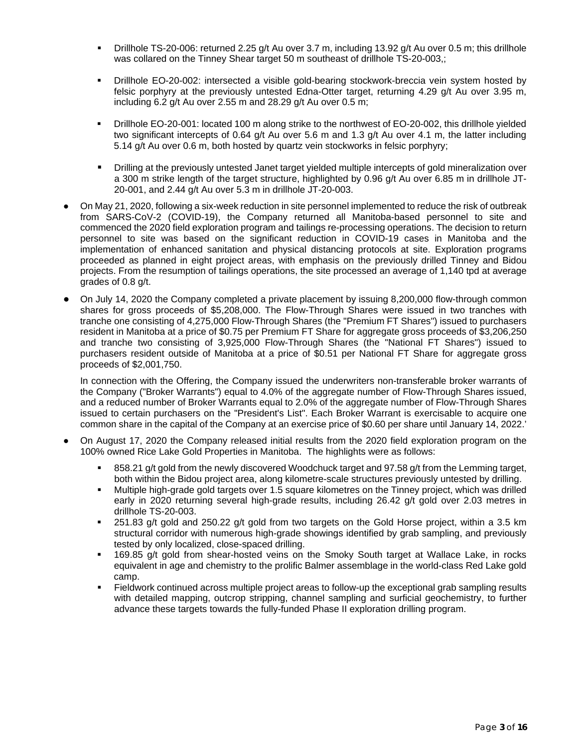- Drillhole TS-20-006: returned 2.25 g/t Au over 3.7 m, including 13.92 g/t Au over 0.5 m; this drillhole was collared on the Tinney Shear target 50 m southeast of drillhole TS-20-003,;
- Drillhole EO-20-002: intersected a visible gold-bearing stockwork-breccia vein system hosted by felsic porphyry at the previously untested Edna-Otter target, returning 4.29 g/t Au over 3.95 m, including 6.2 g/t Au over 2.55 m and 28.29 g/t Au over 0.5 m;
- Drillhole EO-20-001: located 100 m along strike to the northwest of EO-20-002, this drillhole yielded two significant intercepts of 0.64 g/t Au over 5.6 m and 1.3 g/t Au over 4.1 m, the latter including 5.14 g/t Au over 0.6 m, both hosted by quartz vein stockworks in felsic porphyry;
- Drilling at the previously untested Janet target yielded multiple intercepts of gold mineralization over a 300 m strike length of the target structure, highlighted by 0.96 g/t Au over 6.85 m in drillhole JT-20-001, and 2.44 g/t Au over 5.3 m in drillhole JT-20-003.
- On May 21, 2020, following a six-week reduction in site personnel implemented to reduce the risk of outbreak from SARS-CoV-2 (COVID-19), the Company returned all Manitoba-based personnel to site and commenced the 2020 field exploration program and tailings re-processing operations. The decision to return personnel to site was based on the significant reduction in COVID-19 cases in Manitoba and the implementation of enhanced sanitation and physical distancing protocols at site. Exploration programs proceeded as planned in eight project areas, with emphasis on the previously drilled Tinney and Bidou projects. From the resumption of tailings operations, the site processed an average of 1,140 tpd at average grades of 0.8 g/t.
- On July 14, 2020 the Company completed a private placement by issuing 8,200,000 flow-through common shares for gross proceeds of \$5,208,000. The Flow-Through Shares were issued in two tranches with tranche one consisting of 4,275,000 Flow-Through Shares (the "Premium FT Shares") issued to purchasers resident in Manitoba at a price of \$0.75 per Premium FT Share for aggregate gross proceeds of \$3,206,250 and tranche two consisting of 3,925,000 Flow-Through Shares (the "National FT Shares") issued to purchasers resident outside of Manitoba at a price of \$0.51 per National FT Share for aggregate gross proceeds of \$2,001,750.

In connection with the Offering, the Company issued the underwriters non-transferable broker warrants of the Company ("Broker Warrants") equal to 4.0% of the aggregate number of Flow-Through Shares issued, and a reduced number of Broker Warrants equal to 2.0% of the aggregate number of Flow-Through Shares issued to certain purchasers on the "President's List". Each Broker Warrant is exercisable to acquire one common share in the capital of the Company at an exercise price of \$0.60 per share until January 14, 2022.'

- On August 17, 2020 the Company released initial results from the 2020 field exploration program on the 100% owned Rice Lake Gold Properties in Manitoba. The highlights were as follows:
	- 858.21 g/t gold from the newly discovered Woodchuck target and 97.58 g/t from the Lemming target, both within the Bidou project area, along kilometre-scale structures previously untested by drilling.
	- Multiple high-grade gold targets over 1.5 square kilometres on the Tinney project, which was drilled early in 2020 returning several high-grade results, including 26.42 g/t gold over 2.03 metres in drillhole TS-20-003.
	- $\approx$  251.83 g/t gold and 250.22 g/t gold from two targets on the Gold Horse project, within a 3.5 km structural corridor with numerous high-grade showings identified by grab sampling, and previously tested by only localized, close-spaced drilling.
	- 169.85 g/t gold from shear-hosted veins on the Smoky South target at Wallace Lake, in rocks equivalent in age and chemistry to the prolific Balmer assemblage in the world-class Red Lake gold camp.
	- Fieldwork continued across multiple project areas to follow-up the exceptional grab sampling results with detailed mapping, outcrop stripping, channel sampling and surficial geochemistry, to further advance these targets towards the fully-funded Phase II exploration drilling program.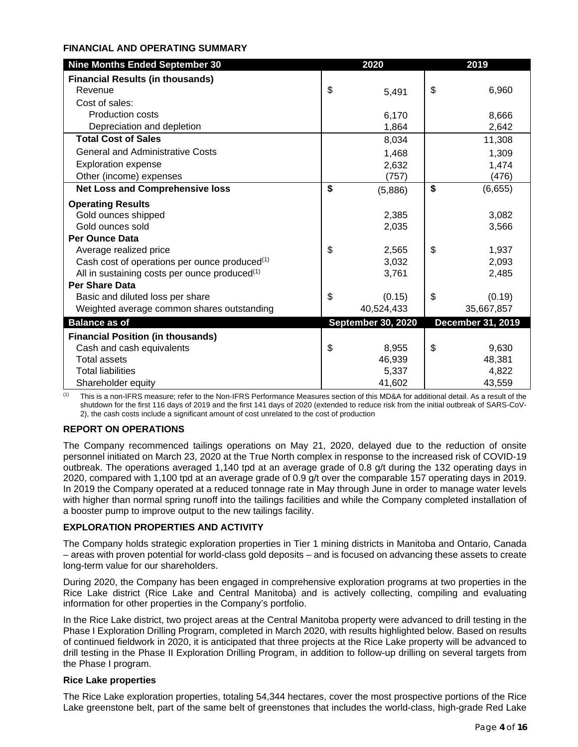#### **FINANCIAL AND OPERATING SUMMARY**

| <b>Nine Months Ended September 30</b>                     | 2020                      | 2019 |                          |  |
|-----------------------------------------------------------|---------------------------|------|--------------------------|--|
| <b>Financial Results (in thousands)</b>                   |                           |      |                          |  |
| Revenue                                                   | \$<br>5,491               | \$   | 6,960                    |  |
| Cost of sales:                                            |                           |      |                          |  |
| <b>Production costs</b>                                   | 6,170                     |      | 8,666                    |  |
| Depreciation and depletion                                | 1,864                     |      | 2,642                    |  |
| <b>Total Cost of Sales</b>                                | 8,034                     |      | 11,308                   |  |
| <b>General and Administrative Costs</b>                   | 1,468                     |      | 1,309                    |  |
| <b>Exploration expense</b>                                | 2,632                     |      | 1,474                    |  |
| Other (income) expenses                                   | (757)                     |      | (476)                    |  |
| <b>Net Loss and Comprehensive loss</b>                    | \$<br>(5,886)             | \$   | (6,655)                  |  |
| <b>Operating Results</b>                                  |                           |      |                          |  |
| Gold ounces shipped                                       | 2,385                     |      | 3,082                    |  |
| Gold ounces sold                                          | 2,035                     |      | 3,566                    |  |
| <b>Per Ounce Data</b>                                     |                           |      |                          |  |
| Average realized price                                    | \$<br>2,565               | \$   | 1,937                    |  |
| Cash cost of operations per ounce produced <sup>(1)</sup> | 3,032                     |      | 2,093                    |  |
| All in sustaining costs per ounce produced <sup>(1)</sup> | 3,761                     |      | 2,485                    |  |
| <b>Per Share Data</b>                                     |                           |      |                          |  |
| Basic and diluted loss per share                          | \$<br>(0.15)              | \$   | (0.19)                   |  |
| Weighted average common shares outstanding                | 40,524,433                |      | 35,667,857               |  |
| <b>Balance as of</b>                                      | <b>September 30, 2020</b> |      | <b>December 31, 2019</b> |  |
| <b>Financial Position (in thousands)</b>                  |                           |      |                          |  |
| Cash and cash equivalents                                 | \$<br>8,955               | \$   | 9,630                    |  |
| <b>Total assets</b>                                       | 46,939                    |      | 48,381                   |  |
| <b>Total liabilities</b>                                  | 5,337                     |      | 4,822                    |  |
| Shareholder equity                                        | 41,602                    |      | 43,559                   |  |

 $<sup>(1)</sup>$  This is a non-IFRS measure; refer to the Non-IFRS Performance Measures section of this MD&A for additional detail. As a result of the</sup> shutdown for the first 116 days of 2019 and the first 141 days of 2020 (extended to reduce risk from the initial outbreak of SARS-CoV-2), the cash costs include a significant amount of cost unrelated to the cost of production

# **REPORT ON OPERATIONS**

The Company recommenced tailings operations on May 21, 2020, delayed due to the reduction of onsite personnel initiated on March 23, 2020 at the True North complex in response to the increased risk of COVID-19 outbreak. The operations averaged 1,140 tpd at an average grade of 0.8 g/t during the 132 operating days in 2020, compared with 1,100 tpd at an average grade of 0.9 g/t over the comparable 157 operating days in 2019. In 2019 the Company operated at a reduced tonnage rate in May through June in order to manage water levels with higher than normal spring runoff into the tailings facilities and while the Company completed installation of a booster pump to improve output to the new tailings facility.

# **EXPLORATION PROPERTIES AND ACTIVITY**

The Company holds strategic exploration properties in Tier 1 mining districts in Manitoba and Ontario, Canada – areas with proven potential for world-class gold deposits – and is focused on advancing these assets to create long-term value for our shareholders.

During 2020, the Company has been engaged in comprehensive exploration programs at two properties in the Rice Lake district (Rice Lake and Central Manitoba) and is actively collecting, compiling and evaluating information for other properties in the Company's portfolio.

In the Rice Lake district, two project areas at the Central Manitoba property were advanced to drill testing in the Phase I Exploration Drilling Program, completed in March 2020, with results highlighted below. Based on results of continued fieldwork in 2020, it is anticipated that three projects at the Rice Lake property will be advanced to drill testing in the Phase II Exploration Drilling Program, in addition to follow-up drilling on several targets from the Phase I program.

#### **Rice Lake properties**

The Rice Lake exploration properties, totaling 54,344 hectares, cover the most prospective portions of the Rice Lake greenstone belt, part of the same belt of greenstones that includes the world-class, high-grade Red Lake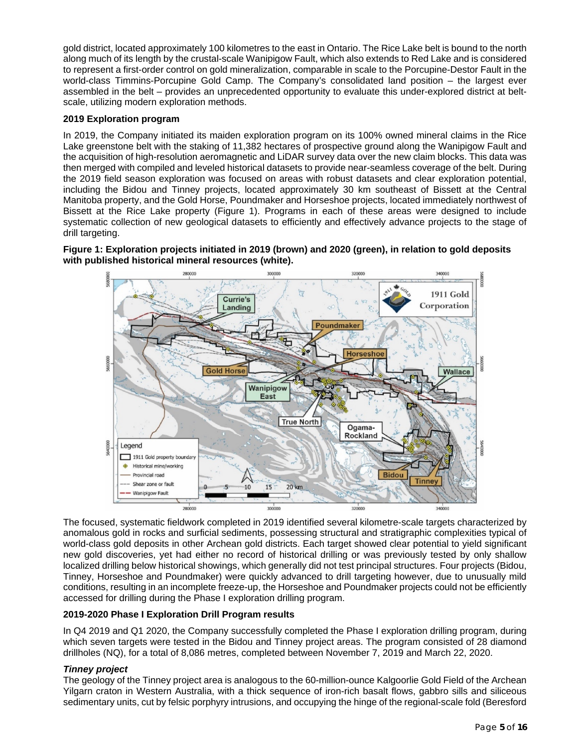gold district, located approximately 100 kilometres to the east in Ontario. The Rice Lake belt is bound to the north along much of its length by the crustal-scale Wanipigow Fault, which also extends to Red Lake and is considered to represent a first-order control on gold mineralization, comparable in scale to the Porcupine-Destor Fault in the world-class Timmins-Porcupine Gold Camp. The Company's consolidated land position – the largest ever assembled in the belt – provides an unprecedented opportunity to evaluate this under-explored district at beltscale, utilizing modern exploration methods.

## **2019 Exploration program**

In 2019, the Company initiated its maiden exploration program on its 100% owned mineral claims in the Rice Lake greenstone belt with the staking of 11,382 hectares of prospective ground along the Wanipigow Fault and the acquisition of high-resolution aeromagnetic and LiDAR survey data over the new claim blocks. This data was then merged with compiled and leveled historical datasets to provide near-seamless coverage of the belt. During the 2019 field season exploration was focused on areas with robust datasets and clear exploration potential, including the Bidou and Tinney projects, located approximately 30 km southeast of Bissett at the Central Manitoba property, and the Gold Horse, Poundmaker and Horseshoe projects, located immediately northwest of Bissett at the Rice Lake property (Figure 1). Programs in each of these areas were designed to include systematic collection of new geological datasets to efficiently and effectively advance projects to the stage of drill targeting.

## **Figure 1: Exploration projects initiated in 2019 (brown) and 2020 (green), in relation to gold deposits with published historical mineral resources (white).**



The focused, systematic fieldwork completed in 2019 identified several kilometre-scale targets characterized by anomalous gold in rocks and surficial sediments, possessing structural and stratigraphic complexities typical of world-class gold deposits in other Archean gold districts. Each target showed clear potential to yield significant new gold discoveries, yet had either no record of historical drilling or was previously tested by only shallow localized drilling below historical showings, which generally did not test principal structures. Four projects (Bidou, Tinney, Horseshoe and Poundmaker) were quickly advanced to drill targeting however, due to unusually mild conditions, resulting in an incomplete freeze-up, the Horseshoe and Poundmaker projects could not be efficiently accessed for drilling during the Phase I exploration drilling program.

# **2019-2020 Phase I Exploration Drill Program results**

In Q4 2019 and Q1 2020, the Company successfully completed the Phase I exploration drilling program, during which seven targets were tested in the Bidou and Tinney project areas. The program consisted of 28 diamond drillholes (NQ), for a total of 8,086 metres, completed between November 7, 2019 and March 22, 2020.

#### *Tinney project*

The geology of the Tinney project area is analogous to the 60-million-ounce Kalgoorlie Gold Field of the Archean Yilgarn craton in Western Australia, with a thick sequence of iron-rich basalt flows, gabbro sills and siliceous sedimentary units, cut by felsic porphyry intrusions, and occupying the hinge of the regional-scale fold (Beresford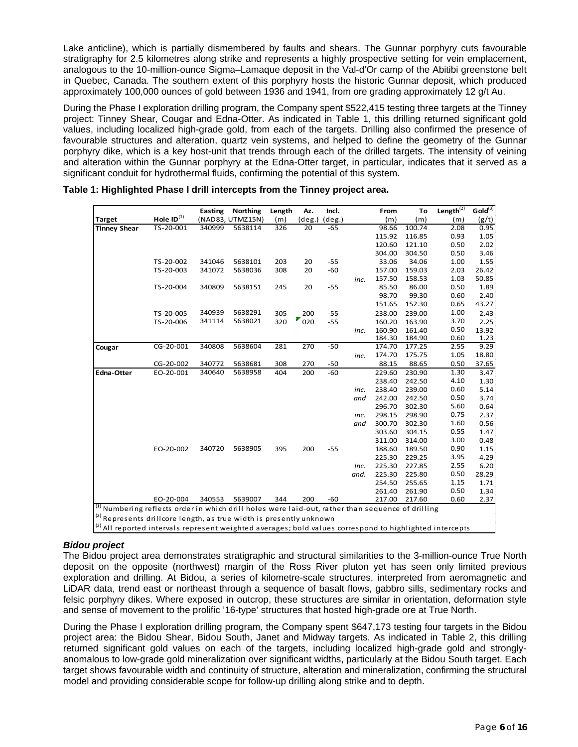Lake anticline), which is partially dismembered by faults and shears. The Gunnar porphyry cuts favourable stratigraphy for 2.5 kilometres along strike and represents a highly prospective setting for vein emplacement, analogous to the 10-million-ounce Sigma–Lamaque deposit in the Val-d'Or camp of the Abitibi greenstone belt in Quebec, Canada. The southern extent of this porphyry hosts the historic Gunnar deposit, which produced approximately 100,000 ounces of gold between 1936 and 1941, from ore grading approximately 12 g/t Au.

During the Phase I exploration drilling program, the Company spent \$522,415 testing three targets at the Tinney project: Tinney Shear, Cougar and Edna-Otter. As indicated in Table 1, this drilling returned significant gold values, including localized high-grade gold, from each of the targets. Drilling also confirmed the presence of favourable structures and alteration, quartz vein systems, and helped to define the geometry of the Gunnar porphyry dike, which is a key host-unit that trends through each of the drilled targets. The intensity of veining and alteration within the Gunnar porphyry at the Edna-Otter target, in particular, indicates that it served as a significant conduit for hydrothermal fluids, confirming the potential of this system.

|                                                                                                                                                                                         |                                                                                               | <b>Easting</b> | <b>Northing</b>  | Length | Az.    | Incl.     |      | From                                                  | To     | Length $\overline{^{(2)}}$ | Gold <sup>(3)</sup> |
|-----------------------------------------------------------------------------------------------------------------------------------------------------------------------------------------|-----------------------------------------------------------------------------------------------|----------------|------------------|--------|--------|-----------|------|-------------------------------------------------------|--------|----------------------------|---------------------|
| <b>Target</b>                                                                                                                                                                           | Hole ID $^{(1)}$                                                                              |                | (NAD83, UTMZ15N) | (m)    | (deg.) | $(\deg.)$ |      | (m)                                                   | (m)    | (m)                        | (g/t)               |
| <b>Tinney Shear</b>                                                                                                                                                                     | TS-20-001                                                                                     | 340999         | 5638114          | 326    | 20     | -65       |      | 98.66                                                 | 100.74 | 2.08                       | 0.95                |
|                                                                                                                                                                                         |                                                                                               |                |                  |        |        |           |      | 115.92                                                | 116.85 | 0.93                       | 1.05                |
|                                                                                                                                                                                         |                                                                                               |                |                  |        |        |           |      | 120.60                                                | 121.10 | 0.50                       | 2.02                |
|                                                                                                                                                                                         |                                                                                               |                |                  |        |        |           |      | 304.00                                                | 304.50 | 0.50                       | 3.46                |
|                                                                                                                                                                                         | TS-20-002                                                                                     | 341046         | 5638101          | 203    | 20     | $-55$     |      | 33.06                                                 | 34.06  | 1.00                       | 1.55                |
|                                                                                                                                                                                         | TS-20-003                                                                                     | 341072         | 5638036          | 308    | 20     | $-60$     |      | 157.00                                                | 159.03 | 2.03                       | 26.42               |
|                                                                                                                                                                                         |                                                                                               |                |                  |        |        |           | inc. | 157.50                                                | 158.53 | 1.03                       | 50.85               |
|                                                                                                                                                                                         | TS-20-004                                                                                     | 340809         | 5638151          | 245    | 20     | $-55$     |      | 85.50                                                 | 86.00  | 0.50                       | 1.89                |
|                                                                                                                                                                                         |                                                                                               |                |                  |        |        |           |      | 98.70                                                 | 99.30  | 0.60                       | 2.40                |
|                                                                                                                                                                                         |                                                                                               |                |                  |        |        |           |      | 151.65                                                | 152.30 | 0.65                       | 43.27               |
|                                                                                                                                                                                         | TS-20-005                                                                                     | 340939         | 5638291          | 305    | 200    | $-55$     |      | 238.00                                                | 239.00 | 1.00                       | 2.43                |
|                                                                                                                                                                                         | TS-20-006                                                                                     | 341114         | 5638021          | 320    | 020    | $-55$     |      | 160.20                                                | 163.90 | 3.70                       | 2.25                |
|                                                                                                                                                                                         |                                                                                               |                |                  |        |        |           | inc. | 160.90                                                | 161.40 | 0.50                       | 13.92               |
|                                                                                                                                                                                         |                                                                                               |                |                  |        |        |           |      | 184.30                                                | 184.90 | 0.60                       | 1.23                |
| Cougar                                                                                                                                                                                  | CG-20-001                                                                                     | 340808         | 5638604          | 281    | 270    | $-50$     |      | 174.70                                                | 177.25 | 2.55                       | 9.29                |
|                                                                                                                                                                                         |                                                                                               |                |                  |        |        |           | inc. | 174.70                                                | 175.75 | 1.05                       | 18.80               |
|                                                                                                                                                                                         | CG-20-002                                                                                     | 340772         | 5638681          | 308    | 270    | $-50$     |      | 88.15                                                 | 88.65  | 0.50                       | 37.65               |
| <b>Edna-Otter</b>                                                                                                                                                                       | EO-20-001                                                                                     | 340640         | 5638958          | 404    | 200    | $-60$     |      | 229.60                                                | 230.90 | 1.30                       | 3.47                |
|                                                                                                                                                                                         |                                                                                               |                |                  |        |        |           |      | 238.40                                                | 242.50 | 4.10                       | 1.30                |
|                                                                                                                                                                                         |                                                                                               |                |                  |        |        |           | inc. | 238.40                                                | 239.00 | 0.60                       | 5.14                |
|                                                                                                                                                                                         |                                                                                               |                |                  |        |        |           | and  | 242.00                                                | 242.50 | 0.50                       | 3.74                |
|                                                                                                                                                                                         |                                                                                               |                |                  |        |        |           |      | 296.70                                                | 302.30 | 5.60                       | 0.64                |
|                                                                                                                                                                                         |                                                                                               |                |                  |        |        |           | inc. | 298.15                                                | 298.90 | 0.75                       | 2.37                |
|                                                                                                                                                                                         |                                                                                               |                |                  |        |        |           | and  | 300.70                                                | 302.30 | 1.60                       | 0.56                |
|                                                                                                                                                                                         |                                                                                               |                |                  |        |        |           |      | 303.60                                                | 304.15 | 0.55                       | 1.47                |
|                                                                                                                                                                                         |                                                                                               |                |                  |        |        |           |      | 311.00                                                | 314.00 | 3.00                       | 0.48                |
|                                                                                                                                                                                         | EO-20-002                                                                                     | 340720         | 5638905          | 395    | 200    | $-55$     |      | 188.60                                                | 189.50 | 0.90                       | 1.15                |
|                                                                                                                                                                                         |                                                                                               |                |                  |        |        |           |      | 225.30                                                | 229.25 | 3.95                       | 4.29                |
|                                                                                                                                                                                         |                                                                                               |                |                  |        |        |           | Inc. | 225.30                                                | 227.85 | 2.55                       | 6.20                |
|                                                                                                                                                                                         |                                                                                               |                |                  |        |        |           | and. | 225.30                                                | 225.80 | 0.50                       | 28.29               |
|                                                                                                                                                                                         |                                                                                               |                |                  |        |        |           |      | 254.50                                                | 255.65 | 1.15                       | 1.71                |
|                                                                                                                                                                                         |                                                                                               |                |                  |        |        |           |      | 261.40                                                | 261.90 | 0.50                       | 1.34                |
|                                                                                                                                                                                         | EO-20-004                                                                                     | 340553         | 5639007          | 344    | 200    | $-60$     |      | 217.00                                                | 217.60 | 0.60                       | 2.37                |
| (1)<br><sup>(2)</sup> Represents drillcore length, as true width is presently unknown<br>(3) All so so outed to to see to so see our to control to the store and club also the state of | Numbering reflects order in which drill holes were laid-out, rather than sequence of drilling |                |                  |        |        |           |      | والمنافذ والمسترات المارين المتلوي والمستنقل والمناسب |        |                            |                     |

| Table 1: Highlighted Phase I drill intercepts from the Tinney project area. |  |  |
|-----------------------------------------------------------------------------|--|--|
|-----------------------------------------------------------------------------|--|--|

All reported intervals represent weighted averages; bold values correspond to highlighted intercepts'

#### *Bidou project*

The Bidou project area demonstrates stratigraphic and structural similarities to the 3-million-ounce True North deposit on the opposite (northwest) margin of the Ross River pluton yet has seen only limited previous exploration and drilling. At Bidou, a series of kilometre-scale structures, interpreted from aeromagnetic and LiDAR data, trend east or northeast through a sequence of basalt flows, gabbro sills, sedimentary rocks and felsic porphyry dikes. Where exposed in outcrop, these structures are similar in orientation, deformation style and sense of movement to the prolific '16-type' structures that hosted high-grade ore at True North.

During the Phase I exploration drilling program, the Company spent \$647,173 testing four targets in the Bidou project area: the Bidou Shear, Bidou South, Janet and Midway targets. As indicated in Table 2, this drilling returned significant gold values on each of the targets, including localized high-grade gold and stronglyanomalous to low-grade gold mineralization over significant widths, particularly at the Bidou South target. Each target shows favourable width and continuity of structure, alteration and mineralization, confirming the structural model and providing considerable scope for follow-up drilling along strike and to depth.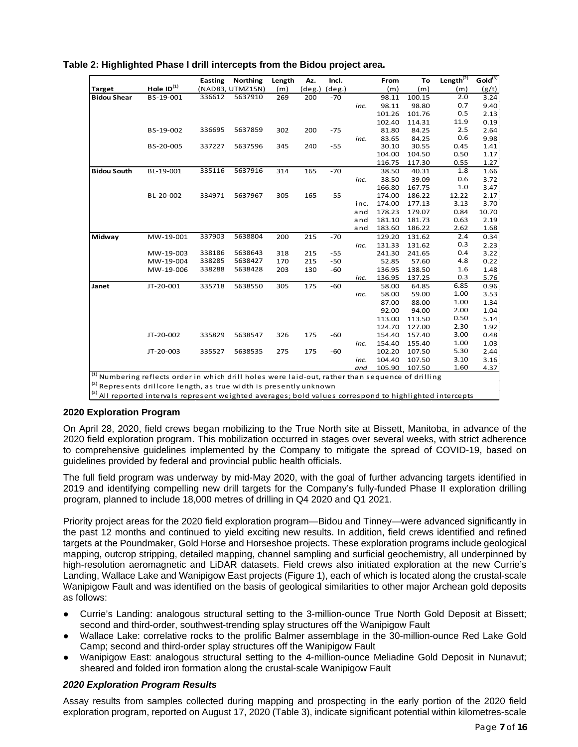|                    |                 | <b>Easting</b> | <b>Northing</b>  | Length | Az.       | Incl.           |      | From   | To     | Length $\overline{^{(2)}}$ | Gold <sup>(3)</sup> |
|--------------------|-----------------|----------------|------------------|--------|-----------|-----------------|------|--------|--------|----------------------------|---------------------|
| <b>Target</b>      | Hole $ID^{(1)}$ |                | (NAD83, UTMZ15N) | (m)    | $(\deg.)$ | $(\text{deg.})$ |      | (m)    | (m)    | (m)                        | (g/t)               |
| <b>Bidou Shear</b> | BS-19-001       | 336612         | 5637910          | 269    | 200       | $-70$           |      | 98.11  | 100.15 | 2.0                        | 3.24                |
|                    |                 |                |                  |        |           |                 | inc. | 98.11  | 98.80  | 0.7                        | 9.40                |
|                    |                 |                |                  |        |           |                 |      | 101.26 | 101.76 | 0.5                        | 2.13                |
|                    |                 |                |                  |        |           |                 |      | 102.40 | 114.31 | 11.9                       | 0.19                |
|                    | BS-19-002       | 336695         | 5637859          | 302    | 200       | $-75$           |      | 81.80  | 84.25  | 2.5                        | 2.64                |
|                    |                 |                |                  |        |           |                 | inc. | 83.65  | 84.25  | 0.6                        | 9.98                |
|                    | BS-20-005       | 337227         | 5637596          | 345    | 240       | $-55$           |      | 30.10  | 30.55  | 0.45                       | 1.41                |
|                    |                 |                |                  |        |           |                 |      | 104.00 | 104.50 | 0.50                       | 1.17                |
|                    |                 |                |                  |        |           |                 |      | 116.75 | 117.30 | 0.55                       | 1.27                |
| <b>Bidou South</b> | BL-19-001       | 335116         | 5637916          | 314    | 165       | $-70$           |      | 38.50  | 40.31  | 1.8                        | 1.66                |
|                    |                 |                |                  |        |           |                 | inc. | 38.50  | 39.09  | 0.6                        | 3.72                |
|                    |                 |                |                  |        |           |                 |      | 166.80 | 167.75 | 1.0                        | 3.47                |
|                    | BL-20-002       | 334971         | 5637967          | 305    | 165       | $-55$           |      | 174.00 | 186.22 | 12.22                      | 2.17                |
|                    |                 |                |                  |        |           |                 | inc. | 174.00 | 177.13 | 3.13                       | 3.70                |
|                    |                 |                |                  |        |           |                 | and  | 178.23 | 179.07 | 0.84                       | 10.70               |
|                    |                 |                |                  |        |           |                 | and  | 181.10 | 181.73 | 0.63                       | 2.19                |
|                    |                 |                |                  |        |           |                 | and  | 183.60 | 186.22 | 2.62                       | 1.68                |
| Midway             | MW-19-001       | 337903         | 5638804          | 200    | 215       | $-70$           |      | 129.20 | 131.62 | 2.4                        | 0.34                |
|                    |                 |                |                  |        |           |                 | inc. | 131.33 | 131.62 | 0.3                        | 2.23                |
|                    | MW-19-003       | 338186         | 5638643          | 318    | 215       | $-55$           |      | 241.30 | 241.65 | 0.4                        | 3.22                |
|                    | MW-19-004       | 338285         | 5638427          | 170    | 215       | $-50$           |      | 52.85  | 57.60  | 4.8                        | 0.22                |
|                    | MW-19-006       | 338288         | 5638428          | 203    | 130       | $-60$           |      | 136.95 | 138.50 | 1.6                        | 1.48                |
|                    |                 |                |                  |        |           |                 | inc. | 136.95 | 137.25 | 0.3                        | 5.76                |
| Janet              | JT-20-001       | 335718         | 5638550          | 305    | 175       | $-60$           |      | 58.00  | 64.85  | 6.85                       | 0.96                |
|                    |                 |                |                  |        |           |                 | inc. | 58.00  | 59.00  | 1.00                       | 3.53                |
|                    |                 |                |                  |        |           |                 |      | 87.00  | 88.00  | 1.00                       | 1.34                |
|                    |                 |                |                  |        |           |                 |      | 92.00  | 94.00  | 2.00                       | 1.04                |
|                    |                 |                |                  |        |           |                 |      | 113.00 | 113.50 | 0.50                       | 5.14                |
|                    |                 |                |                  |        |           |                 |      | 124.70 | 127.00 | 2.30                       | 1.92                |
|                    | JT-20-002       | 335829         | 5638547          | 326    | 175       | $-60$           |      | 154.40 | 157.40 | 3.00                       | 0.48                |
|                    |                 |                |                  |        |           |                 | inc. | 154.40 | 155.40 | 1.00                       | 1.03                |
|                    | JT-20-003       | 335527         | 5638535          | 275    | 175       | $-60$           |      | 102.20 | 107.50 | 5.30                       | 2.44                |
|                    |                 |                |                  |        |           |                 | inc. | 104.40 | 107.50 | 3.10                       | 3.16                |
|                    |                 |                |                  |        |           |                 | and  | 105.90 | 107.50 | 1.60                       | 4.37                |

**Table 2: Highlighted Phase I drill intercepts from the Bidou project area.**

*Numbering reflects order in which drill holes were laid-out, rather than sequence of drilling* 

 $\left| \begin{smallmatrix} 2 \ 2 \end{smallmatrix} \right|$  Represents drillcore length, as true width is presently unknown

<sup>(3)</sup> All reported intervals represent weighted averages; bold values correspond to highlighted intercepts

#### **2020 Exploration Program**

On April 28, 2020, field crews began mobilizing to the True North site at Bissett, Manitoba, in advance of the 2020 field exploration program. This mobilization occurred in stages over several weeks, with strict adherence to comprehensive guidelines implemented by the Company to mitigate the spread of COVID-19, based on guidelines provided by federal and provincial public health officials.

The full field program was underway by mid-May 2020, with the goal of further advancing targets identified in 2019 and identifying compelling new drill targets for the Company's fully-funded Phase II exploration drilling program, planned to include 18,000 metres of drilling in Q4 2020 and Q1 2021.

Priority project areas for the 2020 field exploration program—Bidou and Tinney—were advanced significantly in the past 12 months and continued to yield exciting new results. In addition, field crews identified and refined targets at the Poundmaker, Gold Horse and Horseshoe projects. These exploration programs include geological mapping, outcrop stripping, detailed mapping, channel sampling and surficial geochemistry, all underpinned by high-resolution aeromagnetic and LiDAR datasets. Field crews also initiated exploration at the new Currie's Landing, Wallace Lake and Wanipigow East projects (Figure 1), each of which is located along the crustal-scale Wanipigow Fault and was identified on the basis of geological similarities to other major Archean gold deposits as follows:

- Currie's Landing: analogous structural setting to the 3-million-ounce True North Gold Deposit at Bissett; second and third-order, southwest-trending splay structures off the Wanipigow Fault
- Wallace Lake: correlative rocks to the prolific Balmer assemblage in the 30-million-ounce Red Lake Gold Camp; second and third-order splay structures off the Wanipigow Fault
- Wanipigow East: analogous structural setting to the 4-million-ounce Meliadine Gold Deposit in Nunavut; sheared and folded iron formation along the crustal-scale Wanipigow Fault

#### *2020 Exploration Program Results*

Assay results from samples collected during mapping and prospecting in the early portion of the 2020 field exploration program, reported on August 17, 2020 (Table 3), indicate significant potential within kilometres-scale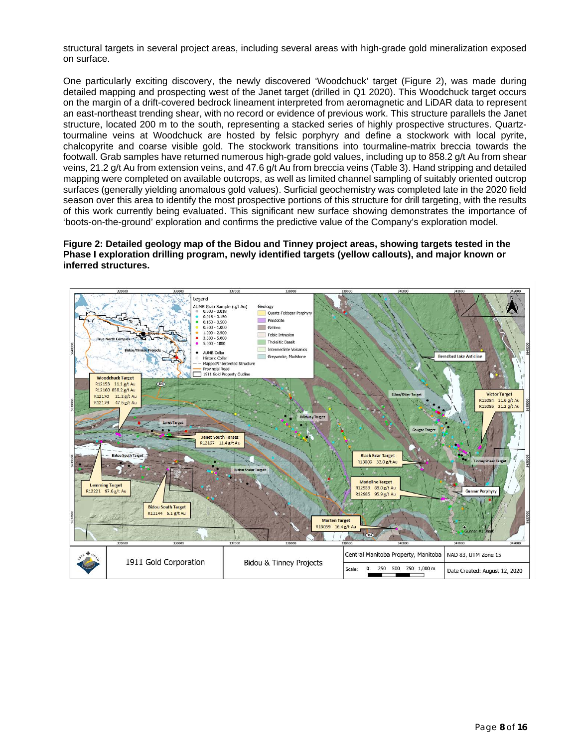structural targets in several project areas, including several areas with high-grade gold mineralization exposed on surface.

One particularly exciting discovery, the newly discovered 'Woodchuck' target (Figure 2), was made during detailed mapping and prospecting west of the Janet target (drilled in Q1 2020). This Woodchuck target occurs on the margin of a drift-covered bedrock lineament interpreted from aeromagnetic and LiDAR data to represent an east-northeast trending shear, with no record or evidence of previous work. This structure parallels the Janet structure, located 200 m to the south, representing a stacked series of highly prospective structures. Quartztourmaline veins at Woodchuck are hosted by felsic porphyry and define a stockwork with local pyrite, chalcopyrite and coarse visible gold. The stockwork transitions into tourmaline-matrix breccia towards the footwall. Grab samples have returned numerous high-grade gold values, including up to 858.2 g/t Au from shear veins, 21.2 g/t Au from extension veins, and 47.6 g/t Au from breccia veins (Table 3). Hand stripping and detailed mapping were completed on available outcrops, as well as limited channel sampling of suitably oriented outcrop surfaces (generally yielding anomalous gold values). Surficial geochemistry was completed late in the 2020 field season over this area to identify the most prospective portions of this structure for drill targeting, with the results of this work currently being evaluated. This significant new surface showing demonstrates the importance of 'boots-on-the-ground' exploration and confirms the predictive value of the Company's exploration model.

**Figure 2: Detailed geology map of the Bidou and Tinney project areas, showing targets tested in the Phase I exploration drilling program, newly identified targets (yellow callouts), and major known or inferred structures.**

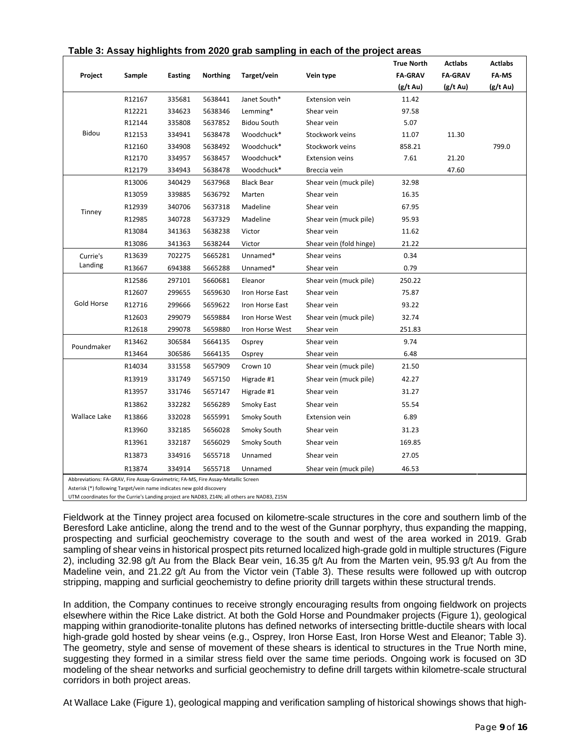| Project                                                                                                                                                                                                                                            | Sample | Easting | Northing | Target/vein        | Vein type               | <b>True North</b><br><b>FA-GRAV</b> | <b>Actlabs</b><br><b>FA-GRAV</b> | <b>Actlabs</b><br>FA-MS |
|----------------------------------------------------------------------------------------------------------------------------------------------------------------------------------------------------------------------------------------------------|--------|---------|----------|--------------------|-------------------------|-------------------------------------|----------------------------------|-------------------------|
|                                                                                                                                                                                                                                                    |        |         |          |                    |                         | (g/t Au)                            | (g/t Au)                         | (g/t Au)                |
|                                                                                                                                                                                                                                                    | R12167 | 335681  | 5638441  | Janet South*       | <b>Extension vein</b>   | 11.42                               |                                  |                         |
|                                                                                                                                                                                                                                                    | R12221 | 334623  | 5638346  | Lemming*           | Shear vein              | 97.58                               |                                  |                         |
|                                                                                                                                                                                                                                                    | R12144 | 335808  | 5637852  | <b>Bidou South</b> | Shear vein              | 5.07                                |                                  |                         |
| Bidou                                                                                                                                                                                                                                              | R12153 | 334941  | 5638478  | Woodchuck*         | Stockwork veins         | 11.07                               | 11.30                            |                         |
|                                                                                                                                                                                                                                                    | R12160 | 334908  | 5638492  | Woodchuck*         | Stockwork veins         | 858.21                              |                                  | 799.0                   |
|                                                                                                                                                                                                                                                    | R12170 | 334957  | 5638457  | Woodchuck*         | <b>Extension veins</b>  | 7.61                                | 21.20                            |                         |
|                                                                                                                                                                                                                                                    | R12179 | 334943  | 5638478  | Woodchuck*         | Breccia vein            |                                     | 47.60                            |                         |
|                                                                                                                                                                                                                                                    | R13006 | 340429  | 5637968  | <b>Black Bear</b>  | Shear vein (muck pile)  | 32.98                               |                                  |                         |
|                                                                                                                                                                                                                                                    | R13059 | 339885  | 5636792  | Marten             | Shear vein              | 16.35                               |                                  |                         |
| Tinney                                                                                                                                                                                                                                             | R12939 | 340706  | 5637318  | Madeline           | Shear vein              | 67.95                               |                                  |                         |
|                                                                                                                                                                                                                                                    | R12985 | 340728  | 5637329  | Madeline           | Shear vein (muck pile)  | 95.93                               |                                  |                         |
|                                                                                                                                                                                                                                                    | R13084 | 341363  | 5638238  | Victor             | Shear vein              | 11.62                               |                                  |                         |
|                                                                                                                                                                                                                                                    | R13086 | 341363  | 5638244  | Victor             | Shear vein (fold hinge) | 21.22                               |                                  |                         |
| Currie's                                                                                                                                                                                                                                           | R13639 | 702275  | 5665281  | Unnamed*           | Shear veins             | 0.34                                |                                  |                         |
| Landing                                                                                                                                                                                                                                            | R13667 | 694388  | 5665288  | Unnamed*           | Shear vein              | 0.79                                |                                  |                         |
|                                                                                                                                                                                                                                                    | R12586 | 297101  | 5660681  | Eleanor            | Shear vein (muck pile)  | 250.22                              |                                  |                         |
|                                                                                                                                                                                                                                                    | R12607 | 299655  | 5659630  | Iron Horse East    | Shear vein              | 75.87                               |                                  |                         |
| <b>Gold Horse</b>                                                                                                                                                                                                                                  | R12716 | 299666  | 5659622  | Iron Horse East    | Shear vein              | 93.22                               |                                  |                         |
|                                                                                                                                                                                                                                                    | R12603 | 299079  | 5659884  | Iron Horse West    | Shear vein (muck pile)  | 32.74                               |                                  |                         |
|                                                                                                                                                                                                                                                    | R12618 | 299078  | 5659880  | Iron Horse West    | Shear vein              | 251.83                              |                                  |                         |
| Poundmaker                                                                                                                                                                                                                                         | R13462 | 306584  | 5664135  | Osprey             | Shear vein              | 9.74                                |                                  |                         |
|                                                                                                                                                                                                                                                    | R13464 | 306586  | 5664135  | Osprey             | Shear vein              | 6.48                                |                                  |                         |
|                                                                                                                                                                                                                                                    | R14034 | 331558  | 5657909  | Crown 10           | Shear vein (muck pile)  | 21.50                               |                                  |                         |
|                                                                                                                                                                                                                                                    | R13919 | 331749  | 5657150  | Higrade #1         | Shear vein (muck pile)  | 42.27                               |                                  |                         |
|                                                                                                                                                                                                                                                    | R13957 | 331746  | 5657147  | Higrade #1         | Shear vein              | 31.27                               |                                  |                         |
|                                                                                                                                                                                                                                                    | R13862 | 332282  | 5656289  | Smoky East         | Shear vein              | 55.54                               |                                  |                         |
| <b>Wallace Lake</b>                                                                                                                                                                                                                                | R13866 | 332028  | 5655991  | Smoky South        | <b>Extension vein</b>   | 6.89                                |                                  |                         |
|                                                                                                                                                                                                                                                    | R13960 | 332185  | 5656028  | Smoky South        | Shear vein              | 31.23                               |                                  |                         |
|                                                                                                                                                                                                                                                    | R13961 | 332187  | 5656029  | Smoky South        | Shear vein              | 169.85                              |                                  |                         |
|                                                                                                                                                                                                                                                    | R13873 | 334916  | 5655718  | Unnamed            | Shear vein              | 27.05                               |                                  |                         |
|                                                                                                                                                                                                                                                    | R13874 | 334914  | 5655718  | Unnamed            | Shear vein (muck pile)  | 46.53                               |                                  |                         |
| Abbreviations: FA-GRAV, Fire Assay-Gravimetric; FA-MS, Fire Assay-Metallic Screen<br>Asterisk (*) following Target/vein name indicates new gold discovery<br>LITRA de contra che e familia Constata Lamalta e mante di con NIADOS. TA ANC all'auto |        |         |          | ALAMOS JACA        |                         |                                     |                                  |                         |

#### **Table 3: Assay highlights from 2020 grab sampling in each of the project areas**

UTM coordinates for the Currie's Landing project are NAD83, Z14N; all others are NAD83, Z15N

Fieldwork at the Tinney project area focused on kilometre-scale structures in the core and southern limb of the Beresford Lake anticline, along the trend and to the west of the Gunnar porphyry, thus expanding the mapping, prospecting and surficial geochemistry coverage to the south and west of the area worked in 2019. Grab sampling of shear veins in historical prospect pits returned localized high-grade gold in multiple structures (Figure 2), including 32.98 g/t Au from the Black Bear vein, 16.35 g/t Au from the Marten vein, 95.93 g/t Au from the Madeline vein, and 21.22 g/t Au from the Victor vein (Table 3). These results were followed up with outcrop stripping, mapping and surficial geochemistry to define priority drill targets within these structural trends.

In addition, the Company continues to receive strongly encouraging results from ongoing fieldwork on projects elsewhere within the Rice Lake district. At both the Gold Horse and Poundmaker projects (Figure 1), geological mapping within granodiorite-tonalite plutons has defined networks of intersecting brittle-ductile shears with local high-grade gold hosted by shear veins (e.g., Osprey, Iron Horse East, Iron Horse West and Eleanor; Table 3). The geometry, style and sense of movement of these shears is identical to structures in the True North mine, suggesting they formed in a similar stress field over the same time periods. Ongoing work is focused on 3D modeling of the shear networks and surficial geochemistry to define drill targets within kilometre-scale structural corridors in both project areas.

At Wallace Lake (Figure 1), geological mapping and verification sampling of historical showings shows that high-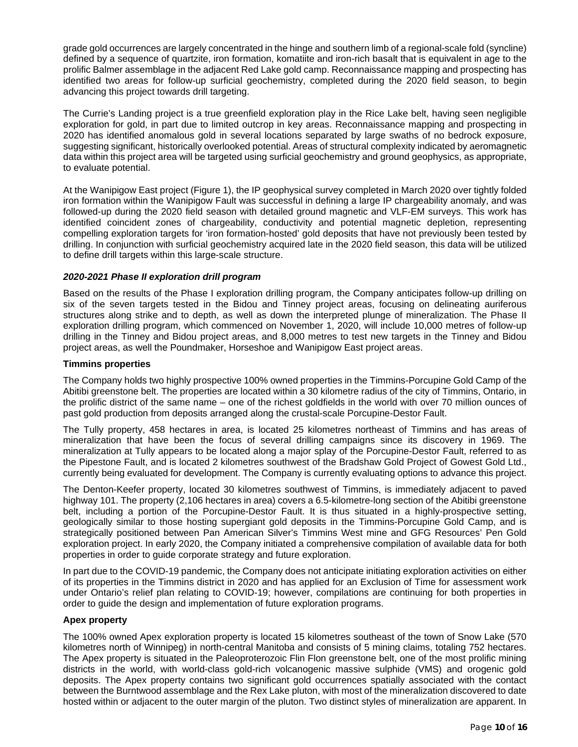grade gold occurrences are largely concentrated in the hinge and southern limb of a regional-scale fold (syncline) defined by a sequence of quartzite, iron formation, komatiite and iron-rich basalt that is equivalent in age to the prolific Balmer assemblage in the adjacent Red Lake gold camp. Reconnaissance mapping and prospecting has identified two areas for follow-up surficial geochemistry, completed during the 2020 field season, to begin advancing this project towards drill targeting.

The Currie's Landing project is a true greenfield exploration play in the Rice Lake belt, having seen negligible exploration for gold, in part due to limited outcrop in key areas. Reconnaissance mapping and prospecting in 2020 has identified anomalous gold in several locations separated by large swaths of no bedrock exposure, suggesting significant, historically overlooked potential. Areas of structural complexity indicated by aeromagnetic data within this project area will be targeted using surficial geochemistry and ground geophysics, as appropriate, to evaluate potential.

At the Wanipigow East project (Figure 1), the IP geophysical survey completed in March 2020 over tightly folded iron formation within the Wanipigow Fault was successful in defining a large IP chargeability anomaly, and was followed-up during the 2020 field season with detailed ground magnetic and VLF-EM surveys. This work has identified coincident zones of chargeability, conductivity and potential magnetic depletion, representing compelling exploration targets for 'iron formation-hosted' gold deposits that have not previously been tested by drilling. In conjunction with surficial geochemistry acquired late in the 2020 field season, this data will be utilized to define drill targets within this large-scale structure.

#### *2020-2021 Phase II exploration drill program*

Based on the results of the Phase I exploration drilling program, the Company anticipates follow-up drilling on six of the seven targets tested in the Bidou and Tinney project areas, focusing on delineating auriferous structures along strike and to depth, as well as down the interpreted plunge of mineralization. The Phase II exploration drilling program, which commenced on November 1, 2020, will include 10,000 metres of follow-up drilling in the Tinney and Bidou project areas, and 8,000 metres to test new targets in the Tinney and Bidou project areas, as well the Poundmaker, Horseshoe and Wanipigow East project areas.

#### **Timmins properties**

The Company holds two highly prospective 100% owned properties in the Timmins-Porcupine Gold Camp of the Abitibi greenstone belt. The properties are located within a 30 kilometre radius of the city of Timmins, Ontario, in the prolific district of the same name – one of the richest goldfields in the world with over 70 million ounces of past gold production from deposits arranged along the crustal-scale Porcupine-Destor Fault.

The Tully property, 458 hectares in area, is located 25 kilometres northeast of Timmins and has areas of mineralization that have been the focus of several drilling campaigns since its discovery in 1969. The mineralization at Tully appears to be located along a major splay of the Porcupine-Destor Fault, referred to as the Pipestone Fault, and is located 2 kilometres southwest of the Bradshaw Gold Project of Gowest Gold Ltd., currently being evaluated for development. The Company is currently evaluating options to advance this project.

The Denton-Keefer property, located 30 kilometres southwest of Timmins, is immediately adjacent to paved highway 101. The property (2,106 hectares in area) covers a 6.5-kilometre-long section of the Abitibi greenstone belt, including a portion of the Porcupine-Destor Fault. It is thus situated in a highly-prospective setting, geologically similar to those hosting supergiant gold deposits in the Timmins-Porcupine Gold Camp, and is strategically positioned between Pan American Silver's Timmins West mine and GFG Resources' Pen Gold exploration project. In early 2020, the Company initiated a comprehensive compilation of available data for both properties in order to guide corporate strategy and future exploration.

In part due to the COVID-19 pandemic, the Company does not anticipate initiating exploration activities on either of its properties in the Timmins district in 2020 and has applied for an Exclusion of Time for assessment work under Ontario's relief plan relating to COVID-19; however, compilations are continuing for both properties in order to guide the design and implementation of future exploration programs.

#### **Apex property**

The 100% owned Apex exploration property is located 15 kilometres southeast of the town of Snow Lake (570 kilometres north of Winnipeg) in north-central Manitoba and consists of 5 mining claims, totaling 752 hectares. The Apex property is situated in the Paleoproterozoic Flin Flon greenstone belt, one of the most prolific mining districts in the world, with world-class gold-rich volcanogenic massive sulphide (VMS) and orogenic gold deposits. The Apex property contains two significant gold occurrences spatially associated with the contact between the Burntwood assemblage and the Rex Lake pluton, with most of the mineralization discovered to date hosted within or adjacent to the outer margin of the pluton. Two distinct styles of mineralization are apparent. In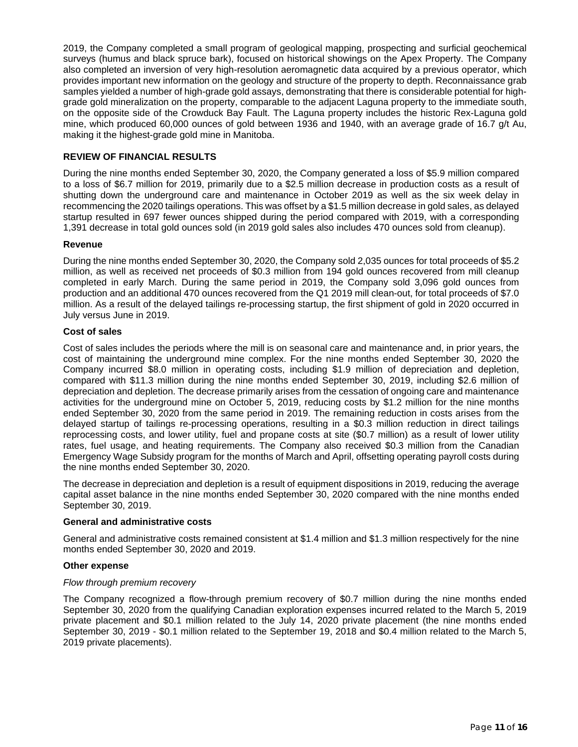2019, the Company completed a small program of geological mapping, prospecting and surficial geochemical surveys (humus and black spruce bark), focused on historical showings on the Apex Property. The Company also completed an inversion of very high-resolution aeromagnetic data acquired by a previous operator, which provides important new information on the geology and structure of the property to depth. Reconnaissance grab samples yielded a number of high-grade gold assays, demonstrating that there is considerable potential for highgrade gold mineralization on the property, comparable to the adjacent Laguna property to the immediate south, on the opposite side of the Crowduck Bay Fault. The Laguna property includes the historic Rex-Laguna gold mine, which produced 60,000 ounces of gold between 1936 and 1940, with an average grade of 16.7 g/t Au, making it the highest-grade gold mine in Manitoba.

#### **REVIEW OF FINANCIAL RESULTS**

During the nine months ended September 30, 2020, the Company generated a loss of \$5.9 million compared to a loss of \$6.7 million for 2019, primarily due to a \$2.5 million decrease in production costs as a result of shutting down the underground care and maintenance in October 2019 as well as the six week delay in recommencing the 2020 tailings operations. This was offset by a \$1.5 million decrease in gold sales, as delayed startup resulted in 697 fewer ounces shipped during the period compared with 2019, with a corresponding 1,391 decrease in total gold ounces sold (in 2019 gold sales also includes 470 ounces sold from cleanup).

## **Revenue**

During the nine months ended September 30, 2020, the Company sold 2,035 ounces for total proceeds of \$5.2 million, as well as received net proceeds of \$0.3 million from 194 gold ounces recovered from mill cleanup completed in early March. During the same period in 2019, the Company sold 3,096 gold ounces from production and an additional 470 ounces recovered from the Q1 2019 mill clean-out, for total proceeds of \$7.0 million. As a result of the delayed tailings re-processing startup, the first shipment of gold in 2020 occurred in July versus June in 2019.

#### **Cost of sales**

Cost of sales includes the periods where the mill is on seasonal care and maintenance and, in prior years, the cost of maintaining the underground mine complex. For the nine months ended September 30, 2020 the Company incurred \$8.0 million in operating costs, including \$1.9 million of depreciation and depletion, compared with \$11.3 million during the nine months ended September 30, 2019, including \$2.6 million of depreciation and depletion. The decrease primarily arises from the cessation of ongoing care and maintenance activities for the underground mine on October 5, 2019, reducing costs by \$1.2 million for the nine months ended September 30, 2020 from the same period in 2019. The remaining reduction in costs arises from the delayed startup of tailings re-processing operations, resulting in a \$0.3 million reduction in direct tailings reprocessing costs, and lower utility, fuel and propane costs at site (\$0.7 million) as a result of lower utility rates, fuel usage, and heating requirements. The Company also received \$0.3 million from the Canadian Emergency Wage Subsidy program for the months of March and April, offsetting operating payroll costs during the nine months ended September 30, 2020.

The decrease in depreciation and depletion is a result of equipment dispositions in 2019, reducing the average capital asset balance in the nine months ended September 30, 2020 compared with the nine months ended September 30, 2019.

#### **General and administrative costs**

General and administrative costs remained consistent at \$1.4 million and \$1.3 million respectively for the nine months ended September 30, 2020 and 2019.

#### **Other expense**

#### *Flow through premium recovery*

The Company recognized a flow-through premium recovery of \$0.7 million during the nine months ended September 30, 2020 from the qualifying Canadian exploration expenses incurred related to the March 5, 2019 private placement and \$0.1 million related to the July 14, 2020 private placement (the nine months ended September 30, 2019 - \$0.1 million related to the September 19, 2018 and \$0.4 million related to the March 5, 2019 private placements).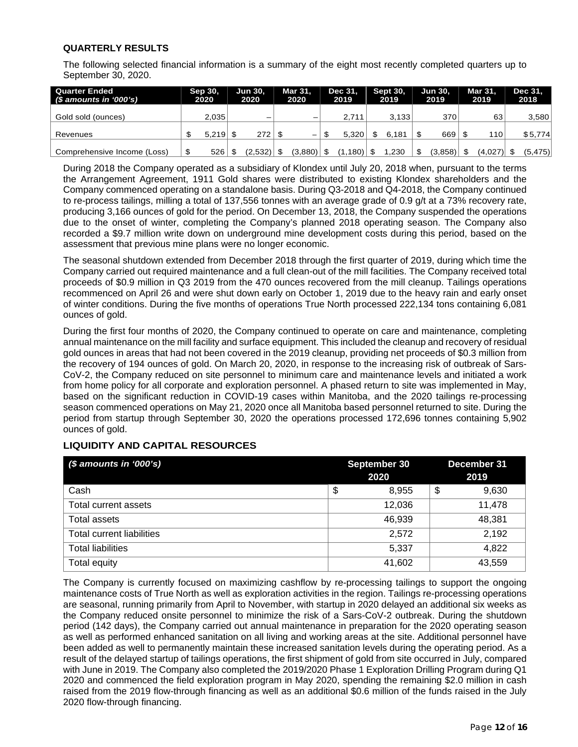## **QUARTERLY RESULTS**

The following selected financial information is a summary of the eight most recently completed quarters up to September 30, 2020.

| <b>Quarter Ended</b><br>(\$ amounts in '000's) | Sep 30,<br>2020 | Jun 30,<br>2020 | Mar 31.<br>2020 | Dec 31.<br>2019 | <b>Sept 30.</b><br>2019 | <b>Jun 30.</b><br>2019 | Mar 31.<br>2019 | Dec 31.<br>2018 |
|------------------------------------------------|-----------------|-----------------|-----------------|-----------------|-------------------------|------------------------|-----------------|-----------------|
| Gold sold (ounces)                             | 2.035           | -               |                 | 2.711           | 3.133                   | 370                    | 63              | 3,580           |
| Revenues                                       | 5.219           | 272             | —               | 5.320           | 6.181                   | 669                    | 110             | \$5,774         |
| Comprehensive Income (Loss)                    | \$<br>526       | (2,532)         | (3,880)         | $1,180$   \$    | .230                    | (3,858)                | $(4,027)$ \$    | (5, 475)        |

During 2018 the Company operated as a subsidiary of Klondex until July 20, 2018 when, pursuant to the terms the Arrangement Agreement, 1911 Gold shares were distributed to existing Klondex shareholders and the Company commenced operating on a standalone basis. During Q3-2018 and Q4-2018, the Company continued to re-process tailings, milling a total of 137,556 tonnes with an average grade of 0.9 g/t at a 73% recovery rate, producing 3,166 ounces of gold for the period. On December 13, 2018, the Company suspended the operations due to the onset of winter, completing the Company's planned 2018 operating season. The Company also recorded a \$9.7 million write down on underground mine development costs during this period, based on the assessment that previous mine plans were no longer economic.

The seasonal shutdown extended from December 2018 through the first quarter of 2019, during which time the Company carried out required maintenance and a full clean-out of the mill facilities. The Company received total proceeds of \$0.9 million in Q3 2019 from the 470 ounces recovered from the mill cleanup. Tailings operations recommenced on April 26 and were shut down early on October 1, 2019 due to the heavy rain and early onset of winter conditions. During the five months of operations True North processed 222,134 tons containing 6,081 ounces of gold.

During the first four months of 2020, the Company continued to operate on care and maintenance, completing annual maintenance on the mill facility and surface equipment. This included the cleanup and recovery of residual gold ounces in areas that had not been covered in the 2019 cleanup, providing net proceeds of \$0.3 million from the recovery of 194 ounces of gold. On March 20, 2020, in response to the increasing risk of outbreak of Sars-CoV-2, the Company reduced on site personnel to minimum care and maintenance levels and initiated a work from home policy for all corporate and exploration personnel. A phased return to site was implemented in May, based on the significant reduction in COVID-19 cases within Manitoba, and the 2020 tailings re-processing season commenced operations on May 21, 2020 once all Manitoba based personnel returned to site. During the period from startup through September 30, 2020 the operations processed 172,696 tonnes containing 5,902 ounces of gold.

# **LIQUIDITY AND CAPITAL RESOURCES**

| $$$ amounts in '000's)           | September 30<br>2020 | December 31<br>2019 |
|----------------------------------|----------------------|---------------------|
| Cash                             | \$<br>8,955          | \$<br>9,630         |
| Total current assets             | 12,036               | 11,478              |
| Total assets                     | 46,939               | 48,381              |
| <b>Total current liabilities</b> | 2,572                | 2,192               |
| <b>Total liabilities</b>         | 5,337                | 4,822               |
| Total equity                     | 41,602               | 43,559              |

The Company is currently focused on maximizing cashflow by re-processing tailings to support the ongoing maintenance costs of True North as well as exploration activities in the region. Tailings re-processing operations are seasonal, running primarily from April to November, with startup in 2020 delayed an additional six weeks as the Company reduced onsite personnel to minimize the risk of a Sars-CoV-2 outbreak. During the shutdown period (142 days), the Company carried out annual maintenance in preparation for the 2020 operating season as well as performed enhanced sanitation on all living and working areas at the site. Additional personnel have been added as well to permanently maintain these increased sanitation levels during the operating period. As a result of the delayed startup of tailings operations, the first shipment of gold from site occurred in July, compared with June in 2019. The Company also completed the 2019/2020 Phase 1 Exploration Drilling Program during Q1 2020 and commenced the field exploration program in May 2020, spending the remaining \$2.0 million in cash raised from the 2019 flow-through financing as well as an additional \$0.6 million of the funds raised in the July 2020 flow-through financing.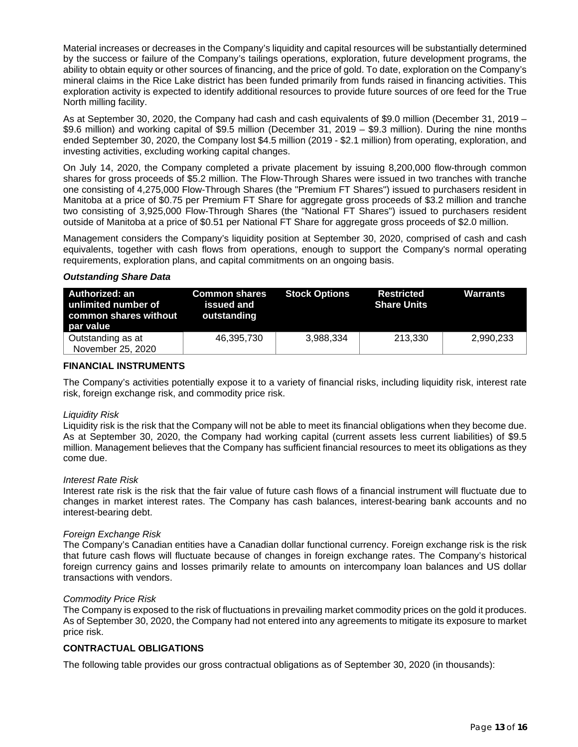Material increases or decreases in the Company's liquidity and capital resources will be substantially determined by the success or failure of the Company's tailings operations, exploration, future development programs, the ability to obtain equity or other sources of financing, and the price of gold. To date, exploration on the Company's mineral claims in the Rice Lake district has been funded primarily from funds raised in financing activities. This exploration activity is expected to identify additional resources to provide future sources of ore feed for the True North milling facility.

As at September 30, 2020, the Company had cash and cash equivalents of \$9.0 million (December 31, 2019 – \$9.6 million) and working capital of \$9.5 million (December 31, 2019 – \$9.3 million). During the nine months ended September 30, 2020, the Company lost \$4.5 million (2019 - \$2.1 million) from operating, exploration, and investing activities, excluding working capital changes.

On July 14, 2020, the Company completed a private placement by issuing 8,200,000 flow-through common shares for gross proceeds of \$5.2 million. The Flow-Through Shares were issued in two tranches with tranche one consisting of 4,275,000 Flow-Through Shares (the "Premium FT Shares") issued to purchasers resident in Manitoba at a price of \$0.75 per Premium FT Share for aggregate gross proceeds of \$3.2 million and tranche two consisting of 3,925,000 Flow-Through Shares (the "National FT Shares") issued to purchasers resident outside of Manitoba at a price of \$0.51 per National FT Share for aggregate gross proceeds of \$2.0 million.

Management considers the Company's liquidity position at September 30, 2020, comprised of cash and cash equivalents, together with cash flows from operations, enough to support the Company's normal operating requirements, exploration plans, and capital commitments on an ongoing basis.

#### *Outstanding Share Data*

| Authorized: an<br>unlimited number of<br>common shares without<br>par value | <b>Common shares Stock Options</b><br>issued and<br>outstanding |           | <b>Restricted</b><br><b>Share Units</b> | Warrants  |
|-----------------------------------------------------------------------------|-----------------------------------------------------------------|-----------|-----------------------------------------|-----------|
| Outstanding as at<br>November 25, 2020                                      | 46,395,730                                                      | 3,988,334 | 213.330                                 | 2,990,233 |

#### **FINANCIAL INSTRUMENTS**

The Company's activities potentially expose it to a variety of financial risks, including liquidity risk, interest rate risk, foreign exchange risk, and commodity price risk.

#### *Liquidity Risk*

Liquidity risk is the risk that the Company will not be able to meet its financial obligations when they become due. As at September 30, 2020, the Company had working capital (current assets less current liabilities) of \$9.5 million. Management believes that the Company has sufficient financial resources to meet its obligations as they come due.

#### *Interest Rate Risk*

Interest rate risk is the risk that the fair value of future cash flows of a financial instrument will fluctuate due to changes in market interest rates. The Company has cash balances, interest-bearing bank accounts and no interest-bearing debt.

#### *Foreign Exchange Risk*

The Company's Canadian entities have a Canadian dollar functional currency. Foreign exchange risk is the risk that future cash flows will fluctuate because of changes in foreign exchange rates. The Company's historical foreign currency gains and losses primarily relate to amounts on intercompany loan balances and US dollar transactions with vendors.

#### *Commodity Price Risk*

The Company is exposed to the risk of fluctuations in prevailing market commodity prices on the gold it produces. As of September 30, 2020, the Company had not entered into any agreements to mitigate its exposure to market price risk.

## **CONTRACTUAL OBLIGATIONS**

The following table provides our gross contractual obligations as of September 30, 2020 (in thousands):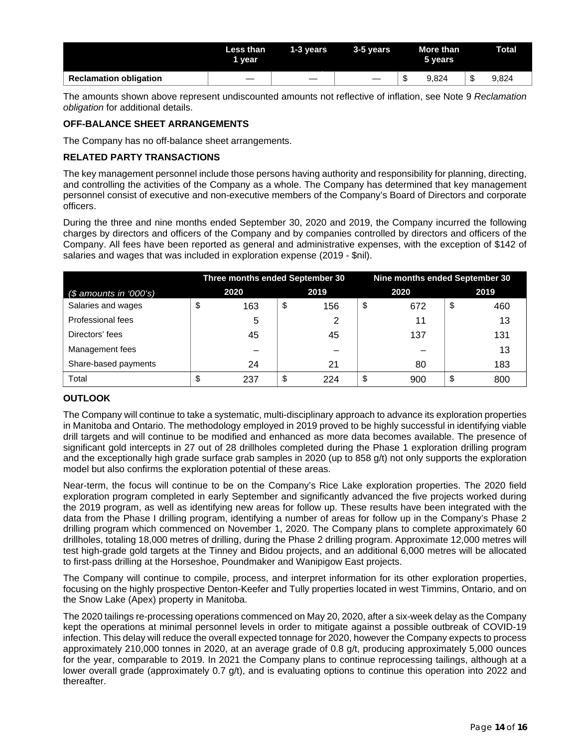|                               | Less than<br>1 vear | 1-3 years | 3-5 vears |    | More than<br>5 years | Total |
|-------------------------------|---------------------|-----------|-----------|----|----------------------|-------|
| <b>Reclamation obligation</b> |                     |           |           | мD | 9.824                | 9.824 |

The amounts shown above represent undiscounted amounts not reflective of inflation, see Note 9 *Reclamation obligation* for additional details.

# **OFF-BALANCE SHEET ARRANGEMENTS**

The Company has no off-balance sheet arrangements.

## **RELATED PARTY TRANSACTIONS**

The key management personnel include those persons having authority and responsibility for planning, directing, and controlling the activities of the Company as a whole. The Company has determined that key management personnel consist of executive and non-executive members of the Company's Board of Directors and corporate officers.

During the three and nine months ended September 30, 2020 and 2019, the Company incurred the following charges by directors and officers of the Company and by companies controlled by directors and officers of the Company. All fees have been reported as general and administrative expenses, with the exception of \$142 of salaries and wages that was included in exploration expense (2019 - \$nil).

|                        | Three months ended September 30 |    | Nine months ended September 30 |    |      |    |      |  |
|------------------------|---------------------------------|----|--------------------------------|----|------|----|------|--|
| $$$ amounts in '000's) | 2020                            |    | 2019                           |    | 2020 |    | 2019 |  |
| Salaries and wages     | \$<br>163                       | \$ | 156                            | \$ | 672  | \$ | 460  |  |
| Professional fees      | 5                               |    | 2                              |    | 11   |    | 13   |  |
| Directors' fees        | 45                              |    | 45                             |    | 137  |    | 131  |  |
| Management fees        |                                 |    |                                |    |      |    | 13   |  |
| Share-based payments   | 24                              |    | 21                             |    | 80   |    | 183  |  |
| Total                  | \$<br>237                       | \$ | 224                            | \$ | 900  | S  | 800  |  |

# **OUTLOOK**

The Company will continue to take a systematic, multi-disciplinary approach to advance its exploration properties in Manitoba and Ontario. The methodology employed in 2019 proved to be highly successful in identifying viable drill targets and will continue to be modified and enhanced as more data becomes available. The presence of significant gold intercepts in 27 out of 28 drillholes completed during the Phase 1 exploration drilling program and the exceptionally high grade surface grab samples in 2020 (up to 858 g/t) not only supports the exploration model but also confirms the exploration potential of these areas.

Near-term, the focus will continue to be on the Company's Rice Lake exploration properties. The 2020 field exploration program completed in early September and significantly advanced the five projects worked during the 2019 program, as well as identifying new areas for follow up. These results have been integrated with the data from the Phase I drilling program, identifying a number of areas for follow up in the Company's Phase 2 drilling program which commenced on November 1, 2020. The Company plans to complete approximately 60 drillholes, totaling 18,000 metres of drilling, during the Phase 2 drilling program. Approximate 12,000 metres will test high-grade gold targets at the Tinney and Bidou projects, and an additional 6,000 metres will be allocated to first-pass drilling at the Horseshoe, Poundmaker and Wanipigow East projects.

The Company will continue to compile, process, and interpret information for its other exploration properties, focusing on the highly prospective Denton-Keefer and Tully properties located in west Timmins, Ontario, and on the Snow Lake (Apex) property in Manitoba.

The 2020 tailings re-processing operations commenced on May 20, 2020, after a six-week delay as the Company kept the operations at minimal personnel levels in order to mitigate against a possible outbreak of COVID-19 infection. This delay will reduce the overall expected tonnage for 2020, however the Company expects to process approximately 210,000 tonnes in 2020, at an average grade of 0.8 g/t, producing approximately 5,000 ounces for the year, comparable to 2019. In 2021 the Company plans to continue reprocessing tailings, although at a lower overall grade (approximately 0.7 g/t), and is evaluating options to continue this operation into 2022 and thereafter.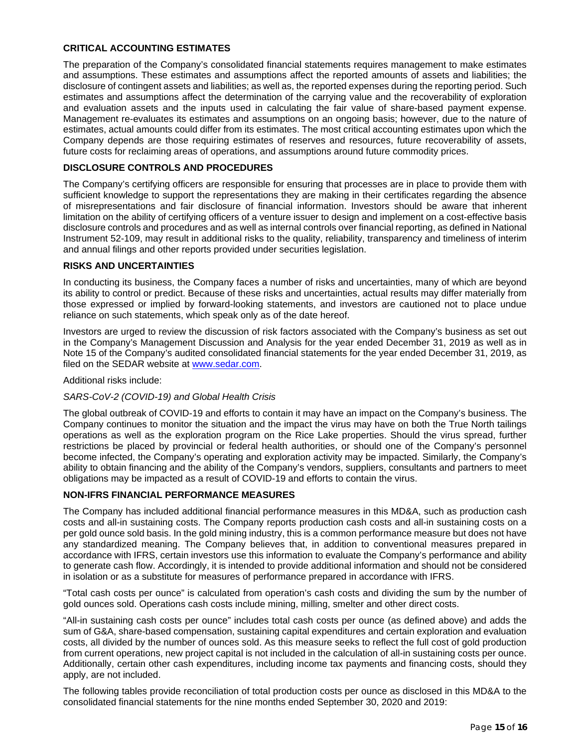#### **CRITICAL ACCOUNTING ESTIMATES**

The preparation of the Company's consolidated financial statements requires management to make estimates and assumptions. These estimates and assumptions affect the reported amounts of assets and liabilities; the disclosure of contingent assets and liabilities; as well as, the reported expenses during the reporting period. Such estimates and assumptions affect the determination of the carrying value and the recoverability of exploration and evaluation assets and the inputs used in calculating the fair value of share-based payment expense. Management re-evaluates its estimates and assumptions on an ongoing basis; however, due to the nature of estimates, actual amounts could differ from its estimates. The most critical accounting estimates upon which the Company depends are those requiring estimates of reserves and resources, future recoverability of assets, future costs for reclaiming areas of operations, and assumptions around future commodity prices.

## **DISCLOSURE CONTROLS AND PROCEDURES**

The Company's certifying officers are responsible for ensuring that processes are in place to provide them with sufficient knowledge to support the representations they are making in their certificates regarding the absence of misrepresentations and fair disclosure of financial information. Investors should be aware that inherent limitation on the ability of certifying officers of a venture issuer to design and implement on a cost-effective basis disclosure controls and procedures and as well as internal controls over financial reporting, as defined in National Instrument 52-109, may result in additional risks to the quality, reliability, transparency and timeliness of interim and annual filings and other reports provided under securities legislation.

## **RISKS AND UNCERTAINTIES**

In conducting its business, the Company faces a number of risks and uncertainties, many of which are beyond its ability to control or predict. Because of these risks and uncertainties, actual results may differ materially from those expressed or implied by forward-looking statements, and investors are cautioned not to place undue reliance on such statements, which speak only as of the date hereof.

Investors are urged to review the discussion of risk factors associated with the Company's business as set out in the Company's Management Discussion and Analysis for the year ended December 31, 2019 as well as in Note 15 of the Company's audited consolidated financial statements for the year ended December 31, 2019, as filed on the SEDAR website a[t www.sedar.com.](http://www.sedar.com/)

#### Additional risks include:

#### *SARS-CoV-2 (COVID-19) and Global Health Crisis*

The global outbreak of COVID-19 and efforts to contain it may have an impact on the Company's business. The Company continues to monitor the situation and the impact the virus may have on both the True North tailings operations as well as the exploration program on the Rice Lake properties. Should the virus spread, further restrictions be placed by provincial or federal health authorities, or should one of the Company's personnel become infected, the Company's operating and exploration activity may be impacted. Similarly, the Company's ability to obtain financing and the ability of the Company's vendors, suppliers, consultants and partners to meet obligations may be impacted as a result of COVID-19 and efforts to contain the virus.

# **NON-IFRS FINANCIAL PERFORMANCE MEASURES**

The Company has included additional financial performance measures in this MD&A, such as production cash costs and all-in sustaining costs. The Company reports production cash costs and all-in sustaining costs on a per gold ounce sold basis. In the gold mining industry, this is a common performance measure but does not have any standardized meaning. The Company believes that, in addition to conventional measures prepared in accordance with IFRS, certain investors use this information to evaluate the Company's performance and ability to generate cash flow. Accordingly, it is intended to provide additional information and should not be considered in isolation or as a substitute for measures of performance prepared in accordance with IFRS.

"Total cash costs per ounce" is calculated from operation's cash costs and dividing the sum by the number of gold ounces sold. Operations cash costs include mining, milling, smelter and other direct costs.

"All-in sustaining cash costs per ounce" includes total cash costs per ounce (as defined above) and adds the sum of G&A, share-based compensation, sustaining capital expenditures and certain exploration and evaluation costs, all divided by the number of ounces sold. As this measure seeks to reflect the full cost of gold production from current operations, new project capital is not included in the calculation of all-in sustaining costs per ounce. Additionally, certain other cash expenditures, including income tax payments and financing costs, should they apply, are not included.

The following tables provide reconciliation of total production costs per ounce as disclosed in this MD&A to the consolidated financial statements for the nine months ended September 30, 2020 and 2019: